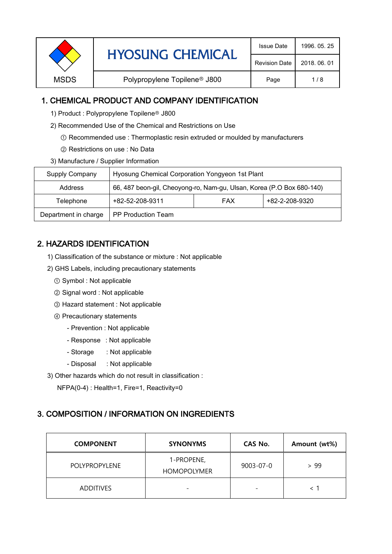| <b>HYOSUNG CHEMICAL</b> | <b>Issue Date</b>                        | 1996, 05, 25         |              |
|-------------------------|------------------------------------------|----------------------|--------------|
|                         |                                          | <b>Revision Date</b> | 2018, 06, 01 |
| <b>MSDS</b>             | Polypropylene Topilene <sup>®</sup> J800 | Page                 | 1/8          |

## 1. CHEMICAL PRODUCT AND COMPANY IDENTIFICATION

- 1) Product : Polypropylene Topilene<sup>®</sup> J800
- 2) Recommended Use of the Chemical and Restrictions on Use
	- ① Recommended use : Thermoplastic resin extruded or moulded by manufacturers
	- ② Restrictions on use : No Data
- 3) Manufacture / Supplier Information

| Supply Company       | Hyosung Chemical Corporation Yongyeon 1st Plant                       |  |  |  |
|----------------------|-----------------------------------------------------------------------|--|--|--|
| Address              | 66, 487 beon-gil, Cheoyong-ro, Nam-gu, Ulsan, Korea (P.O Box 680-140) |  |  |  |
| Telephone            | +82-2-208-9320<br>+82-52-208-9311<br><b>FAX</b>                       |  |  |  |
| Department in charge | <b>PP Production Team</b>                                             |  |  |  |

# 2. HAZARDS IDENTIFICATION

- 1) Classification of the substance or mixture : Not applicable
- 2) GHS Labels, including precautionary statements
	- ① Symbol : Not applicable
	- ② Signal word : Not applicable
	- ③ Hazard statement : Not applicable
	- ④ Precautionary statements
		- Prevention : Not applicable
		- Response : Not applicable
		- Storage : Not applicable
		- Disposal : Not applicable
- 3) Other hazards which do not result in classification :
	- NFPA(0-4) : Health=1, Fire=1, Reactivity=0

## 3. COMPOSITION / INFORMATION ON INGREDIENTS

| <b>COMPONENT</b>     | <b>SYNONYMS</b>                  | CAS No.                  | Amount (wt%) |
|----------------------|----------------------------------|--------------------------|--------------|
| <b>POLYPROPYLENE</b> | 1-PROPENE,<br><b>HOMOPOLYMER</b> | 9003-07-0                | >99          |
| <b>ADDITIVES</b>     |                                  | $\overline{\phantom{0}}$ |              |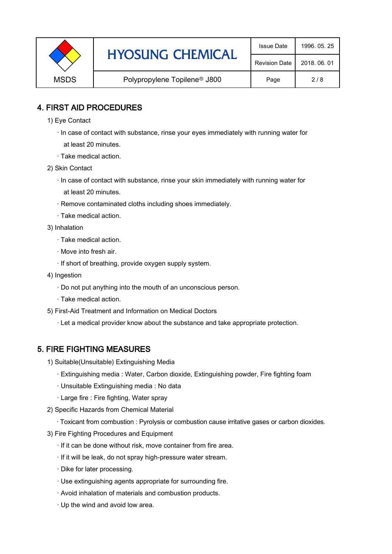|             | <b>HYOSUNG CHEMICAL</b>                  | <b>Issue Date</b>    | 1996, 05, 25 |
|-------------|------------------------------------------|----------------------|--------------|
|             |                                          | <b>Revision Date</b> | 2018, 06, 01 |
| <b>MSDS</b> | Polypropylene Topilene <sup>®</sup> J800 | Page                 | 2/8          |

## 4. FIRST AID PROCEDURES

- 1) Eye Contact
	- · In case of contact with substance, rinse your eyes immediately with running water for at least 20 minutes.
	- · Take medical action.
- 2) Skin Contact
	- · In case of contact with substance, rinse your skin immediately with running water for at least 20 minutes.
	- · Remove contaminated cloths including shoes immediately.
	- · Take medical action.
- 3) Inhalation
	- · Take medical action.
	- · Move into fresh air.
	- · If short of breathing, provide oxygen supply system.
- 4) Ingestion
	- · Do not put anything into the mouth of an unconscious person.
	- · Take medical action.
- 5) First-Aid Treatment and Information on Medical Doctors
	- · Let a medical provider know about the substance and take appropriate protection.

## 5. FIRE FIGHTING MEASURES

- 1) Suitable(Unsuitable) Extinguishing Media
	- · Extinguishing media : Water, Carbon dioxide, Extinguishing powder, Fire fighting foam
	- · Unsuitable Extinguishing media : No data
	- · Large fire : Fire fighting, Water spray
- 2) Specific Hazards from Chemical Material
	- · Toxicant from combustion : Pyrolysis or combustion cause irritative gases or carbon dioxides.
- 3) Fire Fighting Procedures and Equipment
	- · If it can be done without risk, move container from fire area.
	- · If it will be leak, do not spray high-pressure water stream.
	- · Dike for later processing.
	- · Use extinguishing agents appropriate for surrounding fire.
	- · Avoid inhalation of materials and combustion products.
	- · Up the wind and avoid low area.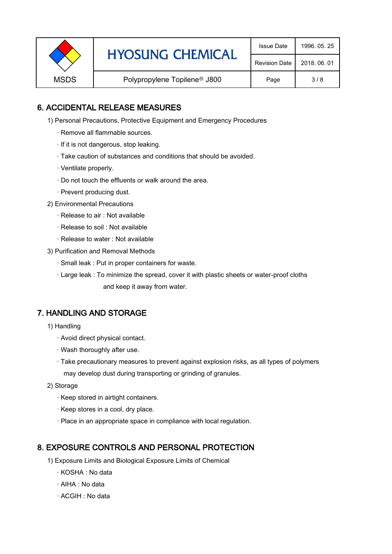| <b>HYOSUNG CHEMICAL</b> | <b>Issue Date</b>                        | 1996, 05, 25         |              |
|-------------------------|------------------------------------------|----------------------|--------------|
|                         |                                          | <b>Revision Date</b> | 2018, 06, 01 |
| <b>MSDS</b>             | Polypropylene Topilene <sup>®</sup> J800 | Page                 | 3/8          |

## 6. ACCIDENTAL RELEASE MEASURES

- 1) Personal Precautions, Protective Equipment and Emergency Procedures
	- · Remove all flammable sources.
	- · If it is not dangerous, stop leaking.
	- · Take caution of substances and conditions that should be avoided.
	- · Ventilate properly.
	- · Do not touch the effluents or walk around the area.
	- · Prevent producing dust.
- 2) Environmental Precautions
	- · Release to air : Not available
	- · Release to soil : Not available
	- · Release to water : Not available
- 3) Purification and Removal Methods
	- · Small leak : Put in proper containers for waste.
	- · Large leak : To minimize the spread, cover it with plastic sheets or water-proof cloths and keep it away from water.

## 7. HANDLING AND STORAGE

- 1) Handling
	- · Avoid direct physical contact.
	- · Wash thoroughly after use.
	- · Take precautionary measures to prevent against explosion risks, as all types of polymers may develop dust during transporting or grinding of granules.
- 2) Storage
	- · Keep stored in airtight containers.
	- · Keep stores in a cool, dry place.
	- · Place in an appropriate space in compliance with local regulation.

## 8. EXPOSURE CONTROLS AND PERSONAL PROTECTION

- 1) Exposure Limits and Biological Exposure Limits of Chemical
	- · KOSHA : No data
	- · AIHA : No data
	- · ACGIH : No data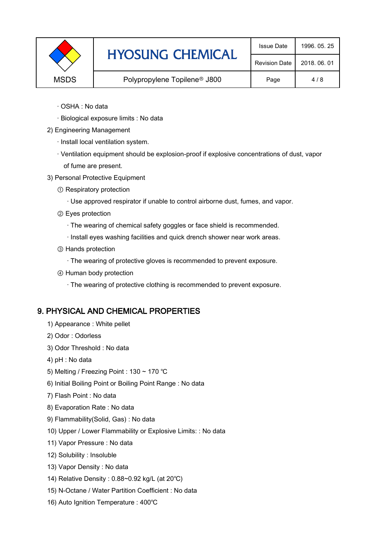|                                                         | <b>HYOSUNG CHEMICAL</b> | <b>Issue Date</b>    | 1996, 05, 25 |
|---------------------------------------------------------|-------------------------|----------------------|--------------|
|                                                         |                         | <b>Revision Date</b> | 2018, 06, 01 |
| Polypropylene Topilene <sup>®</sup> J800<br><b>MSDS</b> | Page                    | 4/8                  |              |
|                                                         |                         |                      |              |

- · OSHA : No data
- · Biological exposure limits : No data
- 2) Engineering Management
	- · Install local ventilation system.
	- · Ventilation equipment should be explosion-proof if explosive concentrations of dust, vapor of fume are present.
- 3) Personal Protective Equipment
	- ① Respiratory protection
		- · Use approved respirator if unable to control airborne dust, fumes, and vapor.
	- ② Eyes protection
		- · The wearing of chemical safety goggles or face shield is recommended.
		- · Install eyes washing facilities and quick drench shower near work areas.
	- ③ Hands protection
		- · The wearing of protective gloves is recommended to prevent exposure.
	- ④ Human body protection
		- · The wearing of protective clothing is recommended to prevent exposure.

#### 9. PHYSICAL AND CHEMICAL PROPERTIES

- 1) Appearance : White pellet
- 2) Odor : Odorless
- 3) Odor Threshold : No data
- 4) pH : No data
- 5) Melting / Freezing Point : 130 ~ 170 ℃
- 6) Initial Boiling Point or Boiling Point Range : No data
- 7) Flash Point : No data
- 8) Evaporation Rate : No data
- 9) Flammability(Solid, Gas) : No data
- 10) Upper / Lower Flammability or Explosive Limits: : No data
- 11) Vapor Pressure : No data
- 12) Solubility : Insoluble
- 13) Vapor Density : No data
- 14) Relative Density : 0.88~0.92 kg/L (at 20℃)
- 15) N-Octane / Water Partition Coefficient : No data
- 16) Auto Ignition Temperature : 400℃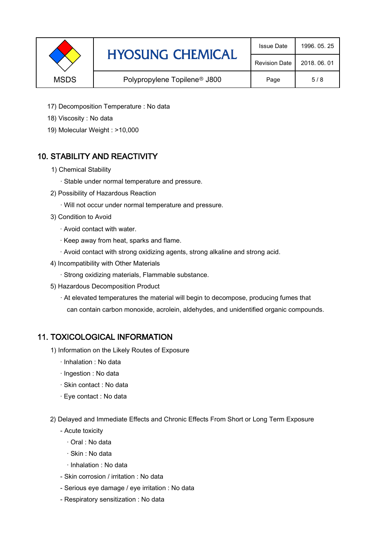|             | <b>HYOSUNG CHEMICAL</b>                  | <b>Issue Date</b>    | 1996, 05, 25 |
|-------------|------------------------------------------|----------------------|--------------|
|             |                                          | <b>Revision Date</b> | 2018, 06, 01 |
| <b>MSDS</b> | Polypropylene Topilene <sup>®</sup> J800 | Page                 | 5/8          |

- 17) Decomposition Temperature : No data
- 18) Viscosity : No data
- 19) Molecular Weight : >10,000

# 10. STABILITY AND REACTIVITY

- 1) Chemical Stability
	- · Stable under normal temperature and pressure.
- 2) Possibility of Hazardous Reaction
	- · Will not occur under normal temperature and pressure.
- 3) Condition to Avoid
	- · Avoid contact with water.
	- · Keep away from heat, sparks and flame.
	- · Avoid contact with strong oxidizing agents, strong alkaline and strong acid.
- 4) Incompatibility with Other Materials
	- · Strong oxidizing materials, Flammable substance.
- 5) Hazardous Decomposition Product
	- · At elevated temperatures the material will begin to decompose, producing fumes that can contain carbon monoxide, acrolein, aldehydes, and unidentified organic compounds.

## 11. TOXICOLOGICAL INFORMATION

- 1) Information on the Likely Routes of Exposure
	- · Inhalation : No data
	- · Ingestion : No data
	- · Skin contact : No data
	- · Eye contact : No data
- 2) Delayed and Immediate Effects and Chronic Effects From Short or Long Term Exposure
	- Acute toxicity
		- · Oral : No data
		- · Skin : No data
		- · Inhalation : No data
	- Skin corrosion / irritation : No data
	- Serious eye damage / eye irritation : No data
	- Respiratory sensitization : No data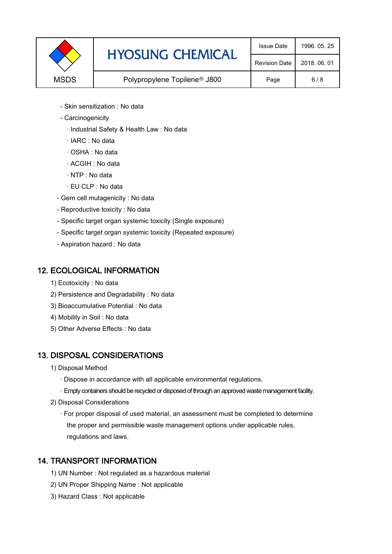| <b>HYOSUNG CHEMICAL</b><br><b>MSDS</b><br>Polypropylene Topilene <sup>®</sup> J800 |                      | <b>Issue Date</b> | 1996, 05, 25 |
|------------------------------------------------------------------------------------|----------------------|-------------------|--------------|
|                                                                                    | <b>Revision Date</b> | 2018, 06, 01      |              |
|                                                                                    |                      | Page              | 6/8          |

- Skin sensitization : No data
- Carcinogenicity
	- · Industrial Safety & Health Law : No data
	- · IARC : No data
	- · OSHA : No data
	- · ACGIH : No data
	- · NTP : No data
	- · EU CLP : No data
- Gem cell mutagenicity : No data
- Reproductive toxicity : No data
- Specific target organ systemic toxicity (Single exposure)
- Specific target organ systemic toxicity (Repeated exposure)
- Aspiration hazard : No data

## 12. ECOLOGICAL INFORMATION

- 1) Ecotoxicity : No data
- 2) Persistence and Degradability : No data
- 3) Bioaccumulative Potential : No data
- 4) Mobility in Soil : No data
- 5) Other Adverse Effects : No data

# 13. DISPOSAL CONSIDERATIONS

- 1) Disposal Method
	- · Dispose in accordance with all applicable environmental regulations.
	- · Empty containers should be recycled or disposed of through an approved waste management facility.
- 2) Disposal Considerations
	- · For proper disposal of used material, an assessment must be completed to determine the proper and permissible waste management options under applicable rules, regulations and laws.

## 14. TRANSPORT INFORMATION

- 1) UN Number : Not regulated as a hazardous material
- 2) UN Proper Shipping Name : Not applicable
- 3) Hazard Class : Not applicable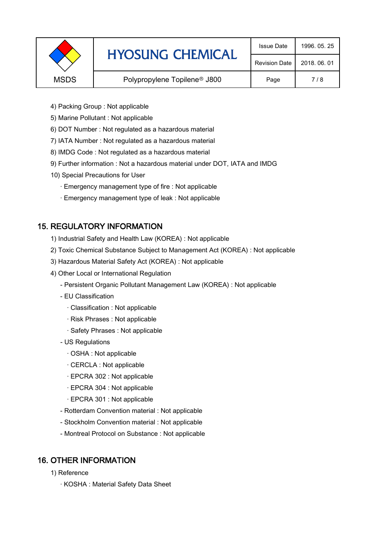|             | <b>HYOSUNG CHEMICAL</b><br>Polypropylene Topilene <sup>®</sup> J800 | <b>Issue Date</b>    | 1996, 05, 25 |
|-------------|---------------------------------------------------------------------|----------------------|--------------|
|             |                                                                     | <b>Revision Date</b> | 2018, 06, 01 |
| <b>MSDS</b> |                                                                     | Page                 | 7/8          |
|             |                                                                     |                      |              |

- 4) Packing Group : Not applicable
- 5) Marine Pollutant : Not applicable
- 6) DOT Number : Not regulated as a hazardous material
- 7) IATA Number : Not regulated as a hazardous material
- 8) IMDG Code : Not regulated as a hazardous material
- 9) Further information : Not a hazardous material under DOT, IATA and IMDG
- 10) Special Precautions for User
	- · Emergency management type of fire : Not applicable
	- · Emergency management type of leak : Not applicable

# 15. REGULATORY INFORMATION

- 1) Industrial Safety and Health Law (KOREA) : Not applicable
- 2) Toxic Chemical Substance Subject to Management Act (KOREA) : Not applicable
- 3) Hazardous Material Safety Act (KOREA) : Not applicable
- 4) Other Local or International Regulation
	- Persistent Organic Pollutant Management Law (KOREA) : Not applicable
	- EU Classification
		- · Classification : Not applicable
		- · Risk Phrases : Not applicable
		- · Safety Phrases : Not applicable
	- US Regulations
		- · OSHA : Not applicable
		- · CERCLA : Not applicable
		- · EPCRA 302 : Not applicable
		- · EPCRA 304 : Not applicable
		- · EPCRA 301 : Not applicable
	- Rotterdam Convention material : Not applicable
	- Stockholm Convention material : Not applicable
	- Montreal Protocol on Substance : Not applicable

## 16. OTHER INFORMATION

- 1) Reference
	- · KOSHA : Material Safety Data Sheet